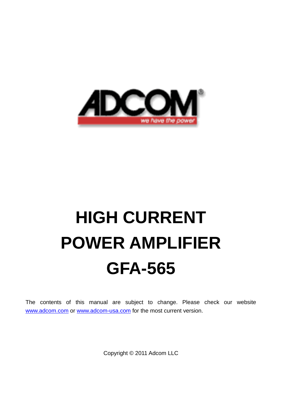

# **HIGH CURRENT POWER AMPLIFIER GFA-565**

The contents of this manual are subject to change. Please check our website [www.adcom.com](http://www.adcom.com/) or [www.adcom-usa.com](http://www.adcom-usa.com/) for the most current version.

Copyright © 2011 Adcom LLC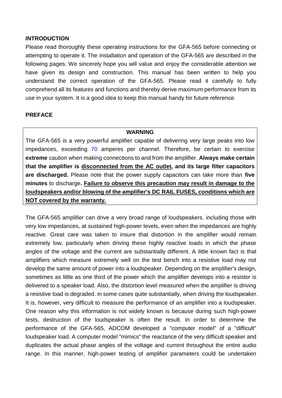## **INTRODUCTION**

Please read thoroughly these operating instructions for the GFA-565 before connecting or attempting to operate it. The installation and operation of the GFA-565 are described in the following pages. We sincerely hope you will value and enjoy the considerable attention we have given its design and construction. This manual has been written to help you understand the correct operation of the GFA-565. Please read it carefully to fully comprehend all its features and functions and thereby derive maximum performance from its use in your system. It is a good idea to keep this manual handy for future reference.

## **PREFACE**

#### **WARNING**

The GFA-565 is a very powerful amplifier capable of delivering very large peaks into low impedances, exceeding 70 amperes per channel. Therefore, be certain to exercise **extreme** caution when making connections to and from the amplifier. **Always make certain that the amplifier is disconnected from the AC outlet, and its large filter capacitors are discharged.** Please note that the power supply capacitors can take more than **five minutes** to discharge**. Failure to observe this precaution may result in damage to the loudspeakers and/or blowing of the amplifier's DC RAIL FUSES, conditions which are NOT covered by the warranty.**

The GFA-565 amplifier can drive a very broad range of loudspeakers. including those with very low impedances, at sustained high-power levels, even when the impedances are highly reactive. Great care was taken to insure that distortion in the amplifier would remain extremely low, particularly when driving these highly reactive loads in which the phase angles of the voltage and the current are substantially different. A little known fact is that amplifiers which measure extremely well on the test bench into a resistive load may not develop the same amount of power into a loudspeaker. Depending on the amplifier's design, sometimes as little as one third of the power which the amplifier develops into a resistor is delivered to a speaker load. Also, the distortion level measured when the amplifier is driving a resistive load is degraded. in some cases quite substantially, when driving the loudspeaker. It is, however, very difficult to measure the performance of an amplifier into a loudspeaker. One reason why this information is not widely known is because during such high-power tests, destruction of the loudspeaker is often the result. In order to determine the performance of the GFA-565, ADCOM developed a "computer model" of a "difficult" loudspeaker load. A computer model "mimics" the reactance of the very difficult speaker and duplicates the actual phase angles of the voltage and current throughout the entire audio range. In this manner, high-power testing of amplifier parameters could be undertaken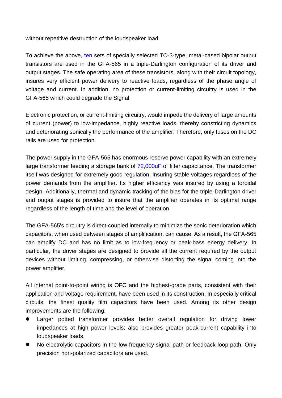without repetitive destruction of the loudspeaker load.

To achieve the above, ten sets of specially selected TO-3-type, metal-cased bipolar output transistors are used in the GFA-565 in a triple-Darlington configuration of its driver and output stages. The safe operating area of these transistors, along with their circuit topology, insures very efficient power delivery to reactive loads, regardless of the phase angle of voltage and current. In addition, no protection or current-limiting circuitry is used in the GFA-565 which could degrade the Signal.

Electronic protection, or current-limiting circuitry, would impede the delivery of large amounts of current (power) to low-impedance, highly reactive loads, thereby constricting dynamics and deteriorating sonically the performance of the amplifier. Therefore, only fuses on the DC rails are used for protection.

The power supply in the GFA-565 has enormous reserve power capability with an extremely large transformer feeding a storage bank of 72,000uF of filter capacitance. The transformer itself was designed for extremely good regulation, insuring stable voltages regardless of the power demands from the amplifier. Its higher efficiency was insured by using a toroidal design. Additionally, thermal and dynamic tracking of the bias for the triple-Darlington driver and output stages is provided to insure that the amplifier operates in its optimal range regardless of the length of time and the level of operation.

The GFA-565's circuitry is direct-coupled internally to minimize the sonic deterioration which capacitors, when used between stages of amplification, can cause. As a result, the GFA-565 can amplify DC and has no limit as to low-frequency or peak-bass energy delivery. In particular, the driver stages are designed to provide all the current required by the output devices without limiting, compressing, or otherwise distorting the signal coming into the power amplifier.

All internal point-to-point wiring is OFC and the highest-grade parts, consistent with their application and voltage requirement, have been used in its construction. In especially critical circuits, the finest quality film capacitors have been used. Among its other design improvements are the following:

- Larger potted transformer provides better overall regulation for driving lower impedances at high power levels; also provides greater peak-current capability into loudspeaker loads.
- No electrolytic capacitors in the low-frequency signal path or feedback-loop path. Only precision non-polarized capacitors are used.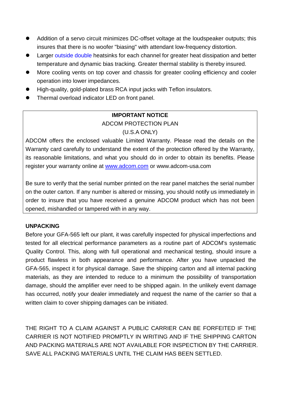- Addition of a servo circuit minimizes DC-offset voltage at the loudspeaker outputs; this insures that there is no woofer "biasing" with attendant low-frequency distortion.
- Larger outside double heatsinks for each channel for greater heat dissipation and better temperature and dynamic bias tracking. Greater thermal stability is thereby insured.
- More cooling vents on top cover and chassis for greater cooling efficiency and cooler operation into lower impedances.
- High-quality, gold-plated brass RCA input jacks with Teflon insulators.
- Thermal overload indicator LED on front panel.

## **IMPORTANT NOTICE**

## ADCOM PROTECTION PLAN

## (U.S.A ONLY)

ADCOM offers the enclosed valuable Limited Warranty. Please read the details on the Warranty card carefully to understand the extent of the protection offered by the Warranty, its reasonable limitations, and what you should do in order to obtain its benefits. Please register your warranty online at [www.adcom.com](http://www.adcom.com/) or www.adcom-usa.com

Be sure to verify that the serial number printed on the rear panel matches the serial number on the outer carton. If any number is altered or missing, you should notify us immediately in order to insure that you have received a genuine ADCOM product which has not been opened, mishandled or tampered with in any way.

## **UNPACKING**

Before your GFA-565 left our plant, it was carefully inspected for physical imperfections and tested for all electrical performance parameters as a routine part of ADCOM's systematic Quality Control. This, along with full operational and mechanical testing, should insure a product flawless in both appearance and performance. After you have unpacked the GFA-565, inspect it for physical damage. Save the shipping carton and all internal packing materials, as they are intended to reduce to a minimum the possibility of transportation damage, should the amplifier ever need to be shipped again. In the unlikely event damage has occurred, notify your dealer immediately and request the name of the carrier so that a written claim to cover shipping damages can be initiated.

THE RIGHT TO A CLAIM AGAINST A PUBLIC CARRIER CAN BE FORFEITED IF THE CARRIER IS NOT NOTIFIED PROMPTLY IN WRITING AND IF THE SHIPPING CARTON AND PACKING MATERIALS ARE NOT AVAILABLE FOR INSPECTION BY THE CARRIER. SAVE ALL PACKING MATERIALS UNTIL THE CLAIM HAS BEEN SETTLED.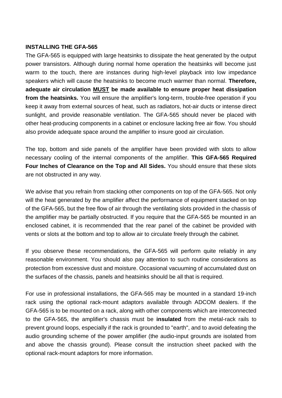## **INSTALLING THE GFA-565**

The GFA-565 is equipped with large heatsinks to dissipate the heat generated by the output power transistors. Although during normal home operation the heatsinks will become just warm to the touch, there are instances during high-level playback into low impedance speakers which will cause the heatsinks to become much warmer than normal. **Therefore, adequate air circulation MUST be made available to ensure proper heat dissipation from the heatsinks.** You will ensure the amplifier's long-term, trouble-free operation if you keep it away from external sources of heat, such as radiators, hot-air ducts or intense direct sunlight, and provide reasonable ventilation. The GFA-565 should never be placed with other heat-producing components in a cabinet or enclosure lacking free air flow. You should also provide adequate space around the amplifier to insure good air circulation.

The top, bottom and side panels of the amplifier have been provided with slots to allow necessary cooling of the internal components of the amplifier. **This GFA-565 Required Four Inches of Clearance on the Top and All Sides.** You should ensure that these slots are not obstructed in any way.

We advise that you refrain from stacking other components on top of the GFA-565. Not only will the heat generated by the amplifier affect the performance of equipment stacked on top of the GFA-565, but the free flow of air through the ventilating slots provided in the chassis of the amplifier may be partially obstructed. If you require that the GFA-565 be mounted in an enclosed cabinet, it is recommended that the rear panel of the cabinet be provided with vents or slots at the bottom and top to allow air to circulate freely through the cabinet.

If you observe these recommendations, the GFA-565 will perform quite reliably in any reasonable environment. You should also pay attention to such routine considerations as protection from excessive dust and moisture. Occasional vacuuming of accumulated dust on the surfaces of the chassis, panels and heatsinks should be all that is required.

For use in professional installations, the GFA-565 may be mounted in a standard 19-inch rack using the optional rack-mount adaptors available through ADCOM dealers. If the GFA-565 is to be mounted on a rack, along with other components which are interconnected to the GFA-565, the amplifier's chassis must be **insulated** from the metal-rack rails to prevent ground loops, especially if the rack is grounded to "earth", and to avoid defeating the audio grounding scheme of the power amplifier (the audio-input grounds are isolated from and above the chassis ground). Please consult the instruction sheet packed with the optional rack-mount adaptors for more information.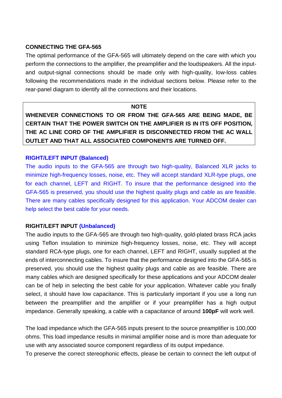## **CONNECTING THE GFA-565**

The optimal performance of the GFA-565 will ultimately depend on the care with which you perform the connections to the amplifier, the preamplifier and the loudspeakers. All the inputand output-signal connections should be made only with high-quality, low-loss cables following the recommendations made in the individual sections below. Please refer to the rear-panel diagram to identify all the connections and their locations.

#### **NOTE**

**WHENEVER CONNECTIONS TO OR FROM THE GFA-565 ARE BEING MADE, BE CERTAIN THAT THE POWER SWITCH ON THE AMPLIFIER IS IN ITS OFF POSITION, THE AC LINE CORD OF THE AMPLIFIER IS DISCONNECTED FROM THE AC WALL OUTLET AND THAT ALL ASSOCIATED COMPONENTS ARE TURNED OFF.**

## **RIGHT/LEFT INPUT (Balanced)**

The audio inputs to the GFA-565 are through two high-quality, Balanced XLR jacks to minimize high-frequency losses, noise, etc. They will accept standard XLR-type plugs, one for each channel, LEFT and RIGHT. To insure that the performance designed into the GFA-565 is preserved, you should use the highest quality plugs and cable as are feasible. There are many cables specifically designed for this application. Your ADCOM dealer can help select the best cable for your needs.

## **RIGHT/LEFT INPUT (Unbalanced)**

The audio inputs to the GFA-565 are through two high-quality, gold-plated brass RCA jacks using Teflon insulation to minimize high-frequency losses, noise, etc. They will accept standard RCA-type plugs, one for each channel, LEFT and RIGHT, usually supplied at the ends of interconnecting cables. To insure that the performance designed into the GFA-565 is preserved, you should use the highest quality plugs and cable as are feasible. There are many cables which are designed specifically for these applications and your ADCOM dealer can be of help in selecting the best cable for your application. Whatever cable you finally select, it should have low capacitance. This is particularly important if you use a long run between the preamplifier and the amplifier or if your preamplifier has a high output impedance. Generally speaking, a cable with a capacitance of around **100pF** will work well.

The load impedance which the GFA-565 inputs present to the source preamplifier is 100,000 ohms. This load impedance results in minimal amplifier noise and is more than adequate for use with any associated source component regardless of its output impedance.

To preserve the correct stereophonic effects, please be certain to connect the left output of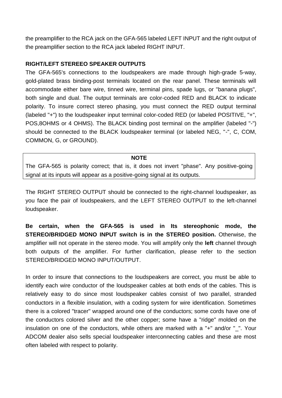the preamplifier to the RCA jack on the GFA-565 labeled LEFT INPUT and the right output of the preamplifier section to the RCA jack labeled RIGHT INPUT.

## **RIGHT/LEFT STEREEO SPEAKER OUTPUTS**

The GFA-565's connections to the loudspeakers are made through high-grade 5-way, gold-plated brass binding-post terminals located on the rear panel. These terminals will accommodate either bare wire, tinned wire, terminal pins, spade lugs, or "banana plugs", both single and dual. The output terminals are color-coded RED and BLACK to indicate polarity. To insure correct stereo phasing, you must connect the RED output terminal (labeled "+") to the loudspeaker input terminal color-coded RED (or labeled POSITIVE, "+", POS,8OHMS or 4 OHMS). The BLACK binding post terminal on the amplifier (labeled "-") should be connected to the BLACK loudspeaker terminal (or labeled NEG, "-", C, COM, COMMON, G, or GROUND).

## **NOTE**

The GFA-565 is polarity correct; that is, it does not invert "phase". Any positive-going signal at its inputs will appear as a positive-going signal at its outputs.

The RIGHT STEREO OUTPUT should be connected to the right-channel loudspeaker, as you face the pair of loudspeakers, and the LEFT STEREO OUTPUT to the left-channel loudspeaker.

**Be certain, when the GFA-565 is used in Its stereophonic mode, the STEREO/BRIDGED MONO INPUT switch is in the STEREO position.** Otherwise, the amplifier will not operate in the stereo mode. You will amplify only the **left** channel through both outputs of the amplifier. For further clarification, please refer to the section STEREO/BRIDGED MONO INPUT/OUTPUT.

In order to insure that connections to the loudspeakers are correct, you must be able to identify each wire conductor of the loudspeaker cables at both ends of the cables. This is relatively easy to do since most loudspeaker cables consist of two parallel, stranded conductors in a flexible insulation, with a coding system for wire identification. Sometimes there is a colored "tracer" wrapped around one of the conductors; some cords have one of the conductors colored silver and the other copper; some have a "ridge" molded on the insulation on one of the conductors, while others are marked with a "+" and/or " ". Your ADCOM dealer also sells special loudspeaker interconnecting cables and these are most often labeled with respect to polarity.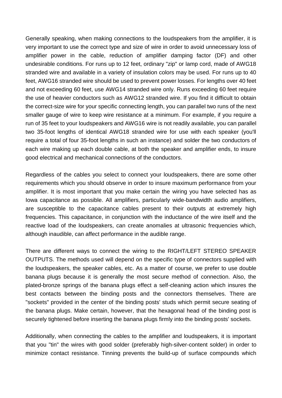Generally speaking, when making connections to the loudspeakers from the amplifier, it is very important to use the correct type and size of wire in order to avoid unnecessary loss of amplifier power in the cable, reduction of amplifier damping factor (DF) and other undesirable conditions. For runs up to 12 feet, ordinary "zip" or lamp cord, made of AWG18 stranded wire and available in a variety of insulation colors may be used. For runs up to 40 feet, AWG16 stranded wire should be used to prevent power losses. For lengths over 40 feet and not exceeding 60 feet, use AWG14 stranded wire only. Runs exceeding 60 feet require the use of heavier conductors such as AWG12 stranded wire. If you find it difficult to obtain the correct-size wire for your specific connecting length, you can parallel two runs of the next smaller gauge of wire to keep wire resistance at a minimum. For example, if you require a run of 35 feet to your loudspeakers and AWG16 wire is not readily available, you can parallel two 35-foot lengths of identical AWG18 stranded wire for use with each speaker (you'll require a total of four 35-foot lengths in such an instance) and solder the two conductors of each wire making up each double cable, at both the speaker and amplifier ends, to insure good electrical and mechanical connections of the conductors.

Regardless of the cables you select to connect your loudspeakers, there are some other requirements which you should observe in order to insure maximum performance from your amplifier. It is most important that you make certain the wiring you have selected has as Iowa capacitance as possible. All amplifiers, particularly wide-bandwidth audio amplifiers, are susceptible to the capacitance cables present to their outputs at extremely high frequencies. This capacitance, in conjunction with the inductance of the wire itself and the reactive load of the loudspeakers, can create anomalies at ultrasonic frequencies which, although inaudible, can affect performance in the audible range.

There are different ways to connect the wiring to the RIGHT/LEFT STEREO SPEAKER OUTPUTS. The methods used will depend on the specific type of connectors supplied with the loudspeakers, the speaker cables, etc. As a matter of course, we prefer to use double banana plugs because it is generally the most secure method of connection. Also, the plated-bronze springs of the banana plugs effect a self-cleaning action which insures the best contacts between the binding posts and the connectors themselves. There are "sockets" provided in the center of the binding posts' studs which permit secure seating of the banana plugs. Make certain, however, that the hexagonal head of the binding post is securely tightened before inserting the banana plugs firmly into the binding posts' sockets.

Additionally, when connecting the cables to the amplifier and loudspeakers, it is important that you "tin" the wires with good solder (preferably high-silver-content solder) in order to minimize contact resistance. Tinning prevents the build-up of surface compounds which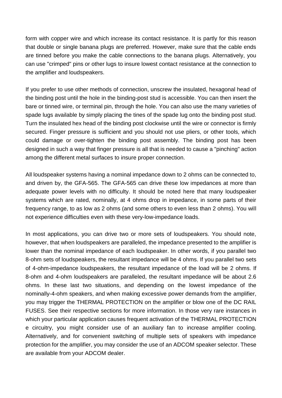form with copper wire and which increase its contact resistance. It is partly for this reason that double or single banana plugs are preferred. However, make sure that the cable ends are tinned before you make the cable connections to the banana plugs. Alternatively, you can use "crimped" pins or other lugs to insure lowest contact resistance at the connection to the amplifier and loudspeakers.

If you prefer to use other methods of connection, unscrew the insulated, hexagonal head of the binding post until the hole in the binding-post stud is accessible. You can then insert the bare or tinned wire, or terminal pin, through the hole. You can also use the many varieties of spade lugs available by simply placing the tines of the spade lug onto the binding post stud. Turn the insulated hex head of the binding post clockwise until the wire or connector is firmly secured. Finger pressure is sufficient and you should not use pliers, or other tools, which could damage or over-tighten the binding post assembly. The binding post has been designed in such a way that finger pressure is all that is needed to cause a "pinching" action among the different metal surfaces to insure proper connection.

All loudspeaker systems having a nominal impedance down to 2 ohms can be connected to, and driven by, the GFA-565. The GFA-565 can drive these low impedances at more than adequate power levels with no difficulty. It should be noted here that many loudspeaker systems which are rated, nominally, at 4 ohms drop in impedance, in some parts of their frequency range, to as low as 2 ohms (and some others to even less than 2 ohms). You will not experience difficulties even with these very-low-impedance loads.

In most applications, you can drive two or more sets of loudspeakers. You should note, however, that when loudspeakers are paralleled, the impedance presented to the amplifier is lower than the nominal impedance of each loudspeaker. In other words, if you parallel two 8-ohm sets of loudspeakers, the resultant impedance will be 4 ohms. If you parallel two sets of 4-ohm-impedance loudspeakers, the resultant impedance of the load will be 2 ohms. If 8-ohm and 4-ohm loudspeakers are paralleled, the resultant impedance will be about 2.6 ohms. In these last two situations, and depending on the lowest impedance of the nominally-4-ohm speakers, and when making excessive power demands from the amplifier, you may trigger the THERMAL PROTECTION on the amplifier or blow one of the DC RAIL FUSES. See their respective sections for more information. In those very rare instances in which your particular application causes frequent activation of the THERMAL PROTECTION e circuitry, you might consider use of an auxiliary fan to increase amplifier cooling. Alternatively, and for convenient switching of multiple sets of speakers with impedance protection for the amplifier, you may consider the use of an ADCOM speaker selector. These are available from your ADCOM dealer.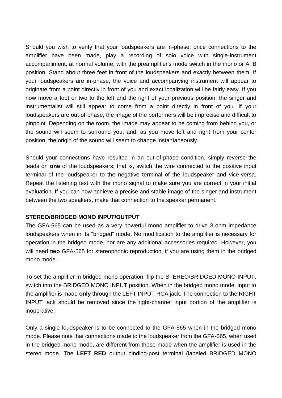Should you wish to verify that your loudspeakers are in-phase, once connections to the amplifier have been made, play a recording of solo voice with single-instrument accompaniment, at normal volume, with the preamplifier's mode switch in the mono or A+B position. Stand about three feet in front of the loudspeakers and exactly between them. If your loudspeakers are in-phase, the voice and accompanying instrument will appear to originate from a point directly in front of you and exact localization will be fairly easy. If you now move a foot or two to the left and the right of your previous position, the singer and instrumentalist will still appear to come from a point directly in front of you. If your loudspeakers are out-of-phase, the image of the performers will be imprecise and difficult to pinpoint. Depending on the room, the image may appear to be coming from behind you, or the sound will seem to surround you, and, as you move left and right from your center position, the origin of the sound will seem to change instantaneously.

Should your connections have resulted in an out-of-phase condition, simply reverse the leads on **one** of the loudspeakers; that is, switch the wire connected to the positive input terminal of the loudspeaker to the negative terminal of the loudspeaker and vice-versa. Repeat the listening test with the mono signal to make sure you are correct in your initial evaluation. If you can now achieve a precise and stable image of the singer and instrument between the two speakers, make that connection to the speaker permanent.

## **STEREO/BRIDGED MONO INPUT/OUTPUT**

The GFA-565 can be used as a very powerful mono amplifier to drive 8-ohm impedance loudspeakers when in its "bridged" mode. No modification to the amplifier is necessary for operation in the bridged mode, nor are any additional accessories required. However, you will need **two** GFA-565 for stereophonic reproduction, if you are using them in the bridged mono mode.

To set the amplifier in bridged mono operation, flip the STEREO/BRIDGED MONO INPUT. switch into the BRIDGED MONO INPUT position. When in the bridged mono mode, input to the amplifier is made **only** through the LEFT INPUT RCA jack. The connection to the RIGHT INPUT jack should be removed since the right-channel input portion of the amplifier is inoperative.

Only a single loudspeaker is to be connected to the GFA-565 when in the bridged mono mode. Please note that connections made to the loudspeaker from the GFA-565, when used in the bridged mono mode, are different from those made when the amplifier is used in the stereo mode. The **LEFT RED** output binding-post terminal (labeled BRIDGED MONO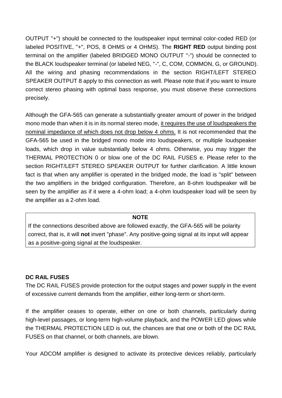OUTPUT "+") should be connected to the loudspeaker input terminal color-coded RED (or labeled POSITIVE, "+", POS, 8 OHMS or 4 OHMS). The **RIGHT RED** output binding post terminal on the amplifier (labeled BRIDGED MONO OUTPUT "-") should be connected to the BLACK loudspeaker terminal (or labeled NEG, "-", C, COM, COMMON, G, or GROUND). All the wiring and phasing recommendations in the section RIGHT/LEFT STEREO SPEAKER OUTPUT 8 apply to this connection as well. Please note that if you want to insure correct stereo phasing with optimal bass response, you must observe these connections precisely.

Although the GFA-565 can generate a substantially greater amount of power in the bridged mono mode than when it is in its normal stereo mode, it requires the use of loudspeakers the nominal impedance of which does not drop below 4 ohms. It is not recommended that the GFA-565 be used in the bridged mono mode into loudspeakers, or multiple loudspeaker loads, which drop in value substantially below 4 ohms. Otherwise, you may trigger the THERMAL PROTECTION 0 or blow one of the DC RAIL FUSES e. Please refer to the section RIGHT/LEFT STEREO SPEAKER OUTPUT for further clarification. A little known fact is that when any amplifier is operated in the bridged mode, the load is "split" between the two amplifiers in the bridged configuration. Therefore, an 8-ohm loudspeaker will be seen by the amplifier as if it were a 4-ohm load; a 4-ohm loudspeaker load will be seen by the amplifier as a 2-ohm load.

## **NOTE**

If the connections described above are followed exactly, the GFA-565 will be polarity correct, that is, it will **not** invert "phase". Any positive-going signal at its input will appear as a positive-going signal at the loudspeaker.

## **DC RAIL FUSES**

The DC RAIL FUSES provide protection for the output stages and power supply in the event of excessive current demands from the amplifier, either long-term or short-term.

If the amplifier ceases to operate, either on one or both channels, particularly during high-level passages, or long-term high-volume playback, and the POWER LED glows while the THERMAL PROTECTION LED is out, the chances are that one or both of the DC RAIL FUSES on that channel, or both channels, are blown.

Your ADCOM amplifier is designed to activate its protective devices reliably, particularly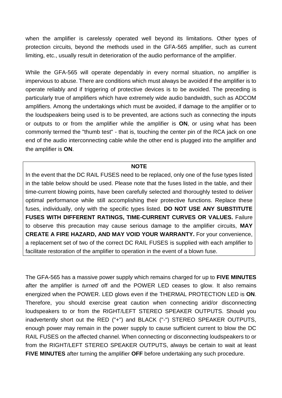when the amplifier is carelessly operated well beyond its limitations. Other types of protection circuits, beyond the methods used in the GFA-565 amplifier, such as current limiting, etc., usually result in deterioration of the audio performance of the amplifier.

While the GFA-565 will operate dependably in every normal situation, no amplifier is impervious to abuse. There are conditions which must always be avoided if the amplifier is to operate reliably and if triggering of protective devices is to be avoided. The preceding is particularly true of amplifiers which have extremely wide audio bandwidth, such as ADCOM amplifiers. Among the undertakings which must be avoided, if damage to the amplifier or to the loudspeakers being used is to be prevented, are actions such as connecting the inputs or outputs to or from the amplifier while the amplifier is **ON**, or using what has been commonly termed the "thumb test" - that is, touching the center pin of the RCA jack on one end of the audio interconnecting cable while the other end is plugged into the amplifier and the amplifier is **ON**.

#### **NOTE**

In the event that the DC RAIL FUSES need to be replaced, only one of the fuse types listed in the table below should be used. Please note that the fuses listed in the table, and their time-current blowing points, have been carefully selected and thoroughly tested to del*iver*  optimal performance while still accomplishing their protective functions. Replace these fuses, individually, only with the specific types listed. **DO NOT USE ANY SUBSTITUTE FUSES WITH DIFFERENT RATINGS, TIME-CURRENT CURVES OR VALUES.** Failure to observe this precaution may cause serious damage to the amplifier circuits, **MAY CREATE A FIRE HAZARD, AND MAY VOID YOUR WARRANTY.** For your convenience, a replacement set of two of the correct DC RAIL FUSES is supplied with each amplifier to facilitate restoration of the amplifier to operation in the event of a blown fuse.

The GFA-565 has a massive power supply which remains charged for up to **FIVE MINUTES**  after the amplifier is *turned* off and the POWER LED ceases to glow. It also remains energized when the POWER. LED glows even if the THERMAL PROTECTION LED is **ON**. Therefore, you should exercise great caution when connecting arid/or disconnecting loudspeakers to or from the RIGHT/LEFT STEREO SPEAKER OUTPUTS. Should you inadvertently short out the RED ("+") and BLACK ("-") STEREO SPEAKER OUTPUTS, enough power may remain in the power supply to cause sufficient current to blow the DC RAIL FUSES on the affected channel. When connecting or disconnecting loudspeakers to or from the RIGHT/LEFT STEREO SPEAKER OUTPUTS, always be certain to wait at least **FIVE MINUTES** after turning the amplifier **OFF** before undertaking any such procedure.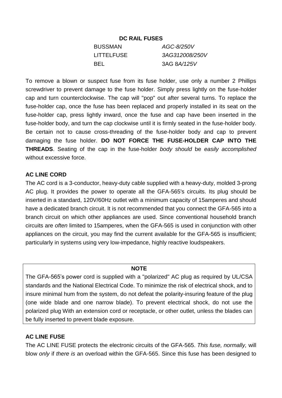## **DC RAIL FUSES**

| <b>BUSSMAN</b> | AGC-8/250V           |
|----------------|----------------------|
| LITTELFUSE     | 3AG312008/250V       |
| BEL.           | 3AG 8 <i>A</i> /125V |

To remove a blown or suspect fuse from its fuse holder, use only a number 2 Phillips screwdriver to prevent damage to the fuse holder. Simply press lightly on the fuse-holder cap and turn counterclockwise. The cap will "pop" out after several turns. To replace the fuse-holder cap, once the fuse has been replaced and properly installed in its seat on the fuse-holder cap, press lightly inward, once the fuse and cap have been inserted in the fuse-holder body, and turn the cap clockwise until it is firmly seated in the fuse-holder body. Be certain not to cause cross-threading of the fuse-holder body and cap to prevent damaging the fuse holder. **DO NOT FORCE THE FUSE-HOLDER CAP INTO THE THREADS**. Seating of the cap in the fuse-holder *body should* be *easily accomplished*  without excessive force.

## **AC LINE CORD**

The AC cord is a 3-conductor, heavy-duty cable supplied with a heavy-duty, molded 3-prong AC plug. It provides the power to operate all the GFA-565's circuits. Its plug should be inserted in a standard, 120V/60Hz outlet with a minimum capacity of 15amperes and should have a dedicated branch circuit. It is not recommended that you connect the GFA-565 into a branch circuit on which other appliances are used. Since conventional household branch circuits are *often* limited to 15amperes, when the GFA-565 is used in conjunction with other appliances on the circuit, you may find the current available for the GFA-565 is insufficient; particularly in systems using very low-impedance, highly reactive loudspeakers.

#### **NOTE**

The GFA-565's power cord is supplied with a "polarized" AC plug as required by UL/CSA standards and the National Electrical Code. To minimize the risk of electrical shock, and to insure minimal hum from the system, do not defeat the polarity-insuring feature of the plug (one wide blade and one narrow blade). To prevent electrical shock, do not use the polarized plug With an extension cord or receptacle, or other outlet, unless the blades can be fully inserted to prevent blade exposure.

## **AC LINE FUSE**

The AC LINE FUSE protects the electronic circuits of the GFA-565. *This fuse, normally,* will blow *only* if *there is* an overload within the GFA-565. Since this fuse has been designed to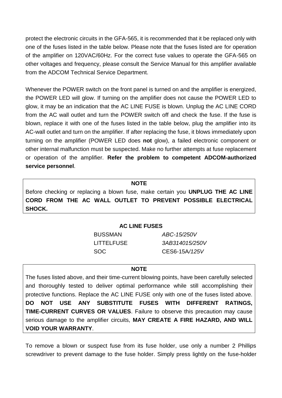protect the electronic circuits in the GFA-565, it is recommended that it be replaced only with one of the fuses listed in the table below. Please note that the fuses listed are for operation of the amplifier on 120VAC/60Hz. For the correct fuse values to operate the GFA-565 on other voltages and frequency, please consult the Service Manual for this amplifier available from the ADCOM Technical Service Department.

Whenever the POWER switch on the front panel is turned on and the amplifier is energized, the POWER LED will glow. If turning on the amplifier does not cause the POWER LED to glow, it may be an indication that the AC LINE FUSE is blown. Unplug the AC LINE CORD from the AC wall outlet and turn the POWER switch off and check the fuse. If the fuse is blown, replace it with one of the fuses listed in the table below, plug the amplifier into its AC-wall outlet and turn on the amplifier. If after replacing the fuse, it blows immediately upon turning on the amplifier (POWER LED does **not** glow), a failed electronic component or other internal malfunction must be suspected. Make no further attempts at fuse replacement or operation of the amplifier. **Refer the problem to competent ADCOM-authorized service personnel**.

#### **NOTE**

Before checking or replacing a blown fuse, make certain you **UNPLUG THE AC LINE CORD FROM THE AC WALL OUTLET TO PREVENT POSSIBLE ELECTRICAL SHOCK.**

#### **AC LINE FUSES**

BUSSMAN *ABC-15/250V* LITTELFUSE *3AB314015/250V* SOC CES6-15A*/125V*

#### **NOTE**

The fuses listed above, and their time-current blowing points, have been carefully selected and thoroughly tested to deliver optimal performance while still accomplishing their protective functions. Replace the AC LINE FUSE only with one of the fuses listed above. **DO NOT USE ANY SUBSTITUTE FUSES WITH DIFFERENT RATINGS, TIME-CURRENT CURVES OR VALUES**. Failure to observe this precaution may cause serious damage to the amplifier circuits, **MAY CREATE A FIRE HAZARD, AND WILL VOID YOUR WARRANTY**.

To remove a blown or suspect fuse from its fuse holder, use only a number 2 Phillips screwdriver to prevent damage to the fuse holder. Simply press lightly on the fuse-holder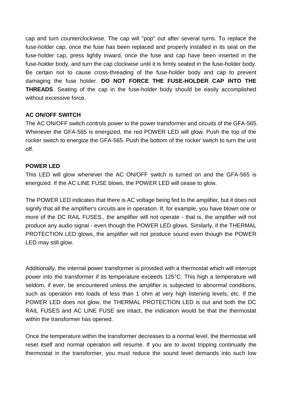cap and turn counterclockwise. The cap will "pop" out after several turns. To replace the fuse-holder cap, once the fuse has been replaced and properly installed in its seat on the fuse-holder cap, press lightly inward, once the fuse and cap have been inserted in the fuse-holder body, and turn the cap clockwise until it is firmly seated in the fuse-holder body. Be certain not to cause cross-threading of the fuse-holder body and cap to prevent damaging the fuse holder. **DO NOT FORCE THE FUSE-HOLDER CAP INTO THE THREADS**. Seating of the cap in the fuse-holder body should be easily accomplished without excessive force.

## **AC ON/OFF SWITCH**

The AC ON/OFF switch controls power to the power transformer and circuits of the GFA-565. Whenever the GFA-565 is energized, the red POWER LED will glow. Push the top of the rocker switch to energize the GFA-565. Push the bottom of the rocker switch to turn the unit off.

## **POWER LED**

This LED will glow whenever the AC ON/OFF switch is turned on and the GFA-565 is energized. If the AC LINE FUSE blows, the POWER LED will cease to glow.

The POWER LED indicates that there is AC voltage being fed to the amplifier, but it does not signify that all the amplifier's circuits are in operation. If, for example, you have blown one or more of the DC RAIL FUSES., the amplifier will not operate - that is, the amplifier will not produce any audio signal - even though the POWER LED glows. Similarly, if the THERMAL PROTECTION LED glows, the amplifier will not produce sound even though the POWER LED may still glow.

Additionally, the internal power transformer is provided with a thermostat which will interrupt power into the transformer if its temperature exceeds 125°C. This high a temperature will seldom, if ever, be encountered unless the amplifier is subjected to abnormal conditions, such as operation into loads of less than 1 ohm at very high listening levels, etc. If the POWER LED does not glow, the THERMAL PROTECTION LED is out and both the DC RAIL FUSES and AC LINE FUSE are intact, the indication would be that the thermostat within the transformer has opened.

Once the temperature within the transformer decreases to a normal level, the thermostat will reset itself and normal operation will resume. If you are to avoid tripping continually the thermostat in the transformer, you must reduce the sound level demands into such low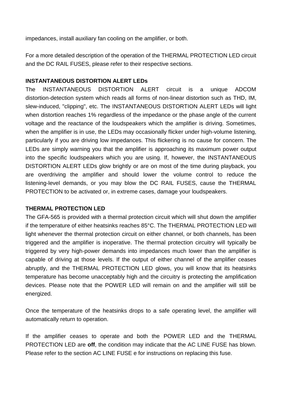impedances, install auxiliary fan cooling on the amplifier, or both.

For a more detailed description of the operation of the THERMAL PROTECTION LED circuit and the DC RAIL FUSES, please refer to their respective sections.

## **INSTANTANEOUS DISTORTION ALERT LEDs**

The INSTANTANEOUS DISTORTION ALERT circuit is a unique ADCOM distortion-detection system which reads all forms of non-linear distortion such as THD, IM, slew-induced, "clipping", etc. The INSTANTANEOUS DISTORTION ALERT LEDs will light when distortion reaches 1% regardless of the impedance or the phase angle of the current voltage and the reactance of the loudspeakers which the amplifier is driving. Sometimes, when the amplifier is in use, the LEDs may occasionally flicker under high-volume listening, particularly if you are driving low impedances. This flickering is no cause for concern. The LEDs are simply warning you that the amplifier is approaching its maximum power output into the specific loudspeakers which you are using. If, however, the INSTANTANEOUS DISTORTION ALERT LEDs glow brightly or are on most of the time during playback, you are overdriving the amplifier and should lower the volume control to reduce the listening-level demands, or you may blow the DC RAIL FUSES, cause the THERMAL PROTECTION to be activated or, in extreme cases, damage your loudspeakers.

## **THERMAL PROTECTION LED**

The GFA-565 is provided with a thermal protection circuit which will shut down the amplifier if the temperature of either heatsinks reaches 85°C. The THERMAL PROTECTION LED will light whenever the thermal protection circuit on either channel, or both channels, has been triggered and the amplifier is inoperative. The thermal protection circuitry will typically be triggered by very high-power demands into impedances much lower than the amplifier is capable of driving at those levels. If the output of either channel of the amplifier ceases abruptly, and the THERMAL PROTECTION LED glows, you will know that its heatsinks temperature has become unacceptably high and the circuitry is protecting the amplification devices. Please note that the POWER LED will remain on and the amplifier will still be energized.

Once the temperature of the heatsinks drops to a safe operating level, the amplifier will automatically return to operation.

If the amplifier ceases to operate and both the POWER LED and the THERMAL PROTECTION LED are **off**, the condition may indicate that the AC LINE FUSE has blown. Please refer to the section AC LINE FUSE e for instructions on replacing this fuse.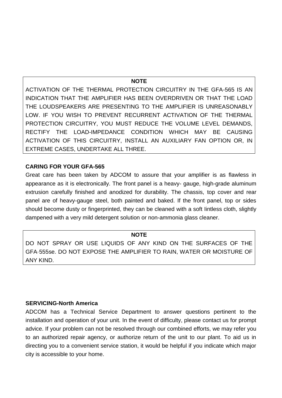#### **NOTE**

ACTIVATION OF THE THERMAL PROTECTION CIRCUITRY IN THE GFA-565 IS AN INDICATION THAT THE AMPLIFIER HAS BEEN OVERDRIVEN OR THAT THE LOAD THE LOUDSPEAKERS ARE PRESENTING TO THE AMPLIFIER IS UNREASONABLY LOW. IF YOU WISH TO PREVENT RECURRENT ACTIVATION OF THE THERMAL PROTECTION CIRCUITRY, YOU MUST REDUCE THE VOLUME LEVEL DEMANDS, RECTIFY THE LOAD-IMPEDANCE CONDITION WHICH MAY BE CAUSING ACTIVATION OF THIS CIRCUITRY, INSTALL AN AUXILIARY FAN OPTION OR, IN EXTREME CASES, UNDERTAKE ALL THREE.

## **CARING FOR YOUR GFA-565**

Great care has been taken by ADCOM to assure that your amplifier is as flawless in appearance as it is electronically. The front panel is a heavy- gauge, high-grade aluminum extrusion carefully finished and anodized for durability. The chassis, top cover and rear panel are of heavy-gauge steel, both painted and baked. If the front panel, top or sides should become dusty or fingerprinted, they can be cleaned with a soft Iintless cloth, slightly dampened with a very mild detergent solution or non-ammonia glass cleaner.

## **NOTE**

DO NOT SPRAY OR USE LIQUIDS OF ANY KIND ON THE SURFACES OF THE GFA·555se. DO NOT EXPOSE THE AMPLIFIER TO RAIN, WATER OR MOISTURE OF ANY KIND.

## **SERVICING-North America**

ADCOM has a Technical Service Department to answer questions pertinent to the installation and operation of your unit. In the event of difficulty, please contact us for prompt advice. If your problem can not be resolved through our combined efforts, we may refer you to an authorized repair agency, or authorize return of the unit to our plant. To aid us in directing you to a convenient service station, it would be helpful if you indicate which major city is accessible to your home.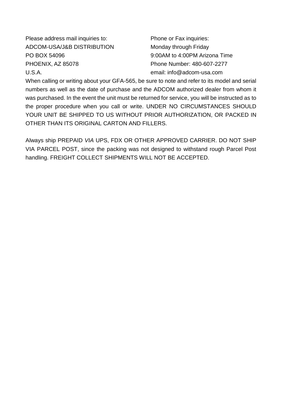Please address mail inquiries to: Phone or Fax inquiries: ADCOM-USA/J&B DISTRIBUTION Monday through Friday PO BOX 54096 9:00AM to 4:00PM Arizona Time PHOENIX, AZ 85078 Phone Number: 480-607-2277 U.S.A. email: info@adcom-usa.com

When calling or writing about your GFA-565, be sure to note and refer to its model and serial numbers as well as the date of purchase and the ADCOM authorized dealer from whom it was purchased. In the event the unit must be returned for service, you will be instructed as to the proper procedure when you call or write. UNDER NO CIRCUMSTANCES SHOULD YOUR UNIT BE SHIPPED TO US WITHOUT PRIOR AUTHORIZATION, OR PACKED IN OTHER THAN ITS ORIGINAL CARTON AND FILLERS.

Always ship PREPAID *VIA* UPS, FDX OR OTHER APPROVED CARRIER. DO NOT SHIP VIA PARCEL POST, since the packing was not designed to withstand rough Parcel Post handling. FREIGHT COLLECT SHIPMENTS WILL NOT BE ACCEPTED.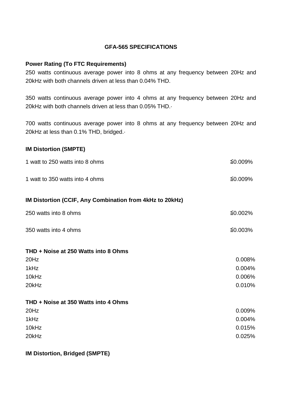## **GFA-565 SPECIFICATIONS**

## **Power Rating (To FTC Requirements)**

250 watts continuous average power into 8 ohms at any frequency between 20Hz and 20kHz with both channels driven at less than 0.04% THD.

350 watts continuous average power into 4 ohms at any frequency between 20Hz and 20kHz with both channels driven at less than 0.05% THD.·

700 watts continuous average power into 8 ohms at any frequency between 20Hz and 20kHz at less than 0.1% THD, bridged.·

## **IM Distortion (SMPTE)**

| 1 watt to 350 watts into 4 ohms                          | ≦0.009% |
|----------------------------------------------------------|---------|
| IM Distortion (CCIF, Any Combination from 4kHz to 20kHz) |         |
| 250 watts into 8 ohms                                    | ≦0.002% |
| 350 watts into 4 ohms                                    | ≦0.003% |
| THD + Noise at 250 Watts into 8 Ohms                     |         |
| 20Hz                                                     | 0.008%  |
| 1kHz                                                     | 0.004%  |
| 10kHz                                                    | 0.006%  |
| 20kHz                                                    | 0.010%  |
| THD + Noise at 350 Watts into 4 Ohms                     |         |
| 20Hz                                                     | 0.009%  |
| 1kHz                                                     | 0.004%  |
| 10kHz                                                    | 0.015%  |
| 20kHz                                                    | 0.025%  |

**IM Distortion, Bridged (SMPTE)**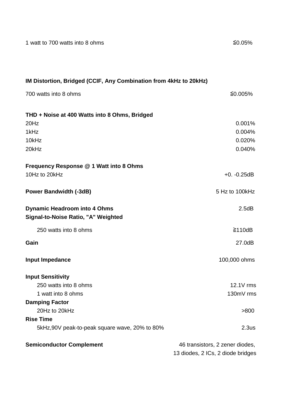| 1 watt to 700 watts into 8 ohms                                   | ≦0.05%                            |
|-------------------------------------------------------------------|-----------------------------------|
|                                                                   |                                   |
| IM Distortion, Bridged (CCIF, Any Combination from 4kHz to 20kHz) |                                   |
| 700 watts into 8 ohms                                             | ≦0.005%                           |
| THD + Noise at 400 Watts into 8 Ohms, Bridged                     |                                   |
| 20Hz                                                              | 0.001%                            |
| 1kHz                                                              | 0.004%                            |
| 10kHz                                                             | 0.020%                            |
| 20kHz                                                             | 0.040%                            |
| Frequency Response @ 1 Watt into 8 Ohms                           |                                   |
| 10Hz to 20kHz                                                     | $+0. -0.25dB$                     |
| <b>Power Bandwidth (-3dB)</b>                                     | 5 Hz to 100kHz                    |
| <b>Dynamic Headroom into 4 Ohms</b>                               | 2.5dB                             |
| Signal-to-Noise Ratio, "A" Weighted                               |                                   |
| 250 watts into 8 ohms                                             | ≥110dB                            |
| Gain                                                              | 27.0dB                            |
| Input Impedance                                                   | 100,000 ohms                      |
| <b>Input Sensitivity</b>                                          |                                   |
| 250 watts into 8 ohms                                             | 12.1V rms                         |
| 1 watt into 8 ohms                                                | 130mV rms                         |
| <b>Damping Factor</b>                                             |                                   |
| 20Hz to 20kHz                                                     | >800                              |
| <b>Rise Time</b>                                                  |                                   |
| 5kHz,90V peak-to-peak square wave, 20% to 80%                     | 2.3us                             |
| <b>Semiconductor Complement</b>                                   | 46 transistors, 2 zener diodes,   |
|                                                                   | 13 diodes, 2 ICs, 2 diode bridges |